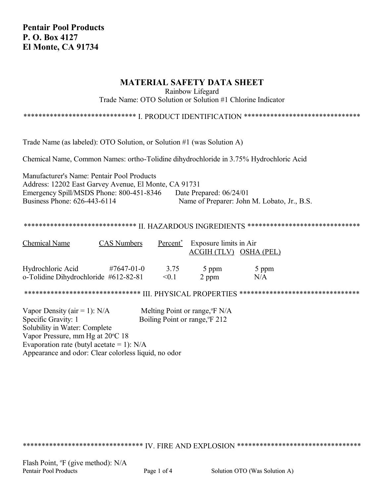**Pentair Pool Products P. O. Box 4127 El Monte, CA 91734**

# **MATERIAL SAFETY DATA SHEET**

Rainbow Lifegard

Trade Name: OTO Solution or Solution #1 Chlorine Indicator

\*\*\*\*\*\*\*\*\*\*\*\*\*\*\*\*\*\*\*\*\*\*\*\*\*\*\*\*\*\*\* I. PRODUCT IDENTIFICATION \*\*\*\*\*\*\*\*\*\*\*\*\*\*\*\*\*\*\*\*\*\*\*\*\*\*\*\*\*

Trade Name (as labeled): OTO Solution, or Solution #1 (was Solution A)

Chemical Name, Common Names: ortho-Tolidine dihydrochloride in 3.75% Hydrochloric Acid

Manufacturer's Name: Pentair Pool Products Address: 12202 East Garvey Avenue, El Monte, CA 91731 Emergency Spill/MSDS Phone: 800-451-8346 Date Prepared: 06/24/01 Business Phone: 626-443-6114 Name of Preparer: John M. Lobato, Jr., B.S.

## \*\*\*\*\*\*\*\*\*\*\*\*\*\*\*\*\*\*\*\*\*\*\*\*\*\*\*\*\*\*\* II. HAZARDOUS INGREDIENTS \*\*\*\*\*\*\*\*\*\*\*\*\*\*\*\*\*\*\*\*\*\*\*\*\*\*\*\*\*

| <b>Chemical Name</b>                  | <b>CAS Numbers</b> | Percent <sup>*</sup> | Exposure limits in Air<br>ACGIH (TLV) OSHA (PEL) |       |
|---------------------------------------|--------------------|----------------------|--------------------------------------------------|-------|
| Hydrochloric Acid                     | $\#7647 - 01 - 0$  | 3.75                 | 5 ppm                                            | 5 ppm |
| o-Tolidine Dihydrochloride #612-82-81 |                    | < 0.1                | 2 ppm                                            | N/A   |

\*\*\*\*\*\*\*\*\*\*\*\*\*\*\*\*\*\*\*\*\*\*\*\*\*\*\*\*\*\*\* III. PHYSICAL PROPERTIES \*\*\*\*\*\*\*\*\*\*\*\*\*\*\*\*\*\*\*\*\*\*\*\*\*\*\*\*\*\*\*\*

Vapor Density (air = 1):  $N/A$  Melting Point or range,  $F N/A$ Specific Gravity: 1 Boiling Point or range,  ${}^{o}$ F 212 Solubility in Water: Complete Vapor Pressure, mm Hg at 20 °C 18 Evaporation rate (butyl acetate  $= 1$ ): N/A Appearance and odor: Clear colorless liquid, no odor

\*\*\*\*\*\*\*\*\*\*\*\*\*\*\*\*\*\*\*\*\*\*\*\*\*\*\*\*\*\*\*\* IV. FIRE AND EXPLOSION \*\*\*\*\*\*\*\*\*\*\*\*\*\*\*\*\*\*\*\*\*\*\*\*\*\*\*\*\*\*\*\*\*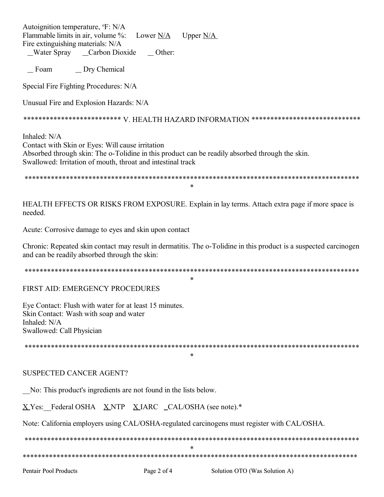Autoignition temperature, <sup>o</sup>F: N/A Flammable limits in air, volume %: Lower  $N/A$ Upper  $N/A$ Fire extinguishing materials: N/A

Water Spray Carbon Dioxide Other:

Foam \_ Dry Chemical

Special Fire Fighting Procedures: N/A

Unusual Fire and Explosion Hazards: N/A

\*\*\*\*\*\*\*\*\*\*\*\*\*\*\*\*\*\*\*\*\*\*\*\*\*\*\*\* V. HEALTH HAZARD INFORMATION \*\*\*\*\*\*\*\*\*\*\*\*\*\*\*\*\*\*\*\*\*\*\*\*\*\*\*\*\*\*

Inhaled: N/A Contact with Skin or Eyes: Will cause irritation Absorbed through skin: The o-Tolidine in this product can be readily absorbed through the skin. Swallowed: Irritation of mouth, throat and intestinal track

 $\ast$ 

HEALTH EFFECTS OR RISKS FROM EXPOSURE. Explain in lay terms. Attach extra page if more space is needed

Acute: Corrosive damage to eyes and skin upon contact

Chronic: Repeated skin contact may result in dermatitis. The o-Tolidine in this product is a suspected carcinogen and can be readily absorbed through the skin:

 $\ast$ 

FIRST AID: EMERGENCY PROCEDURES

Eve Contact: Flush with water for at least 15 minutes. Skin Contact: Wash with soap and water Inhaled: N/A Swallowed: Call Physician

 $\ast$ 

# **SUSPECTED CANCER AGENT?**

No: This product's ingredients are not found in the lists below.

X Yes: Federal OSHA X NTP X IARC \_CAL/OSHA (see note).\*

Note: California employers using CAL/OSHA-regulated carcinogens must register with CAL/OSHA.

 $\ast$ 

**Pentair Pool Products** 

Page 2 of 4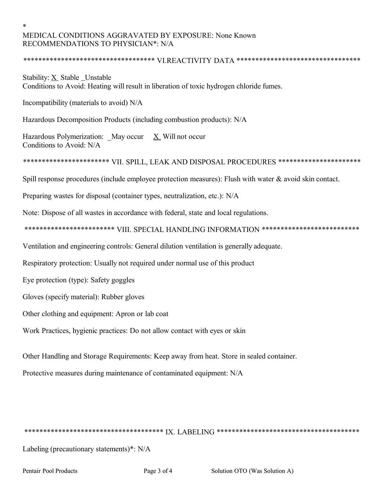# MEDICAL CONDITIONS AGGRAVATED BY EXPOSURE: None Known RECOMMENDATIONS TO PHYSICIAN\*: N/A

#### \*\*\*\*\*\*\*\*\*\*\*\*\*\*\*\*\*\*\*\*\*\*\*\*\*\*\*\*\*\*\*\*\*\*\* <code>VI.REACTIVITY</code>  $\rm{DATA}$ \*\*\*\*\*\*\*\*\*\*\*\*\*\*\*\*\*\*\*\*\*\*\*\*\*\*\*\*\*\*\*\*\*

Stability: X Stable Unstable Conditions to Avoid: Heating will result in liberation of toxic hydrogen chloride fumes.

Incompatibility (materials to avoid) N/A

Hazardous Decomposition Products (including combustion products): N/A

Hazardous Polymerization: May occur  $X$  Will not occur Conditions to Avoid: N/A

\*\*\*\*\*\*\*\*\*\*\*\*\*\*\*\*\*\*\*\*\*\*\* VII, SPILL, LEAK AND DISPOSAL PROCEDURES \*\*\*\*\*\*\*\*\*\*\*\*\*\*\*\*\*\*\*\*\*\*

Spill response procedures (include employee protection measures): Flush with water & avoid skin contact.

Preparing wastes for disposal (container types, neutralization, etc.): N/A

Note: Dispose of all wastes in accordance with federal, state and local regulations.

\*\*\*\*\*\*\*\*\*\*\*\*\*\*\*\*\*\*\*\*\*\*\*\* VIII. SPECIAL HANDLING INFORMATION \*\*\*\*\*\*\*\*\*\*\*\*\*\*\*\*\*\*\*\*\*\*\*\*\*\*

Ventilation and engineering controls: General dilution ventilation is generally adequate.

Respiratory protection: Usually not required under normal use of this product

Eye protection (type): Safety goggles

Gloves (specify material): Rubber gloves

Other clothing and equipment: Apron or lab coat

Work Practices, hygienic practices: Do not allow contact with eyes or skin

Other Handling and Storage Requirements: Keep away from heat. Store in sealed container.

Protective measures during maintenance of contaminated equipment: N/A

Labeling (precautionary statements)\*: N/A

**Pentair Pool Products**